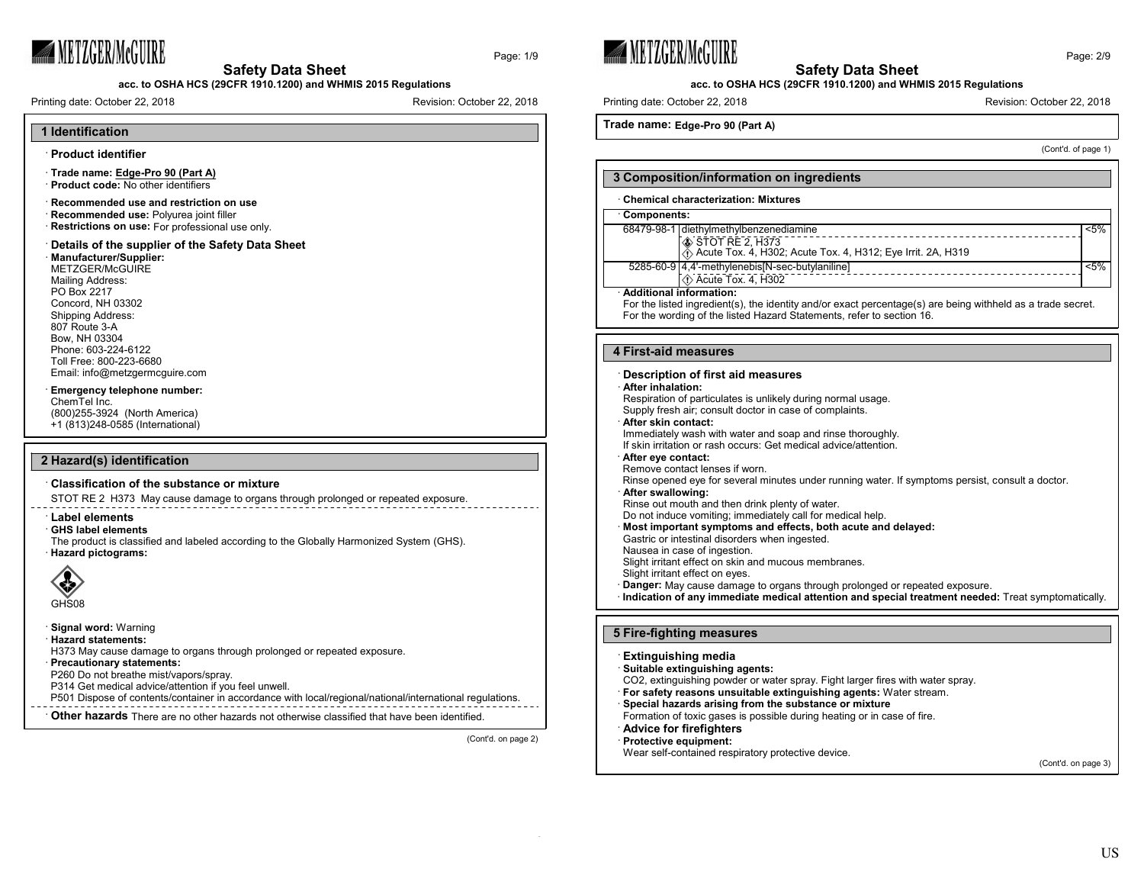

Page: 1/9

**acc. to OSHA HCS (29CFR 1910.1200) and WHMIS 2015 Regulations**

Printing date: October 22, 2018 **Revision: October 22, 2018** Revision: October 22, 2018







## **acc. to OSHA HCS (29CFR 1910.1200) and WHMIS 2015 Regulations**

Printing date: October 22, 2018 **Revision: Printing date: October 22, 2018** Revision: October 22, 2018

## **Trade name: Edge-Pro 90 (Part A)**

(Cont'd. of page 1)

| 3 Composition/information on ingredients                                                                                                                                                                        |                                                                                                                                                              |         |
|-----------------------------------------------------------------------------------------------------------------------------------------------------------------------------------------------------------------|--------------------------------------------------------------------------------------------------------------------------------------------------------------|---------|
|                                                                                                                                                                                                                 | <b>Chemical characterization: Mixtures</b>                                                                                                                   |         |
| Components:                                                                                                                                                                                                     |                                                                                                                                                              |         |
|                                                                                                                                                                                                                 | 68479-98-1 diethylmethylbenzenediamine<br>STOT RE 2, H373<br>A Acute Tox. 4, H302; Acute Tox. 4, H312; Eye Irrit. 2A, H319                                   | $< 5\%$ |
|                                                                                                                                                                                                                 | 5285-60-9 4.4'-methylenebis [N-sec-butylaniline]<br><b><i>◯</i></b> Acute Tox. 4, H302                                                                       | $< 5\%$ |
| Additional information:<br>For the listed ingredient(s), the identity and/or exact percentage(s) are being withheld as a trade secret.<br>For the wording of the listed Hazard Statements, refer to section 16. |                                                                                                                                                              |         |
| 4 First-aid measures                                                                                                                                                                                            |                                                                                                                                                              |         |
| After inhalation:                                                                                                                                                                                               | Description of first aid measures<br>Respiration of particulates is unlikely during normal usage.<br>Supply fresh air; consult doctor in case of complaints. |         |

#### · **After skin contact:**

Immediately wash with water and soap and rinse thoroughly.

If skin irritation or rash occurs: Get medical advice/attention.

#### · **After eye contact:**

Remove contact lenses if worn.

Rinse opened eye for several minutes under running water. If symptoms persist, consult a doctor.

#### · **After swallowing:**

Rinse out mouth and then drink plenty of water.

Do not induce vomiting; immediately call for medical help.

- · **Most important symptoms and effects, both acute and delayed:**
- Gastric or intestinal disorders when ingested.
- Nausea in case of ingestion.

Slight irritant effect on skin and mucous membranes.

- Slight irritant effect on eyes.
- · **Danger:** May cause damage to organs through prolonged or repeated exposure.
- · **Indication of any immediate medical attention and special treatment needed:** Treat symptomatically.

#### **5 Fire-fighting measures**

#### · **Extinguishing media**

· **Suitable extinguishing agents:**

- CO2, extinguishing powder or water spray. Fight larger fires with water spray.
- · **For safety reasons unsuitable extinguishing agents:** Water stream.
- · **Special hazards arising from the substance or mixture**
- Formation of toxic gases is possible during heating or in case of fire.

· **Advice for firefighters**

· **Protective equipment:**

Wear self-contained respiratory protective device.

(Cont'd. on page 3)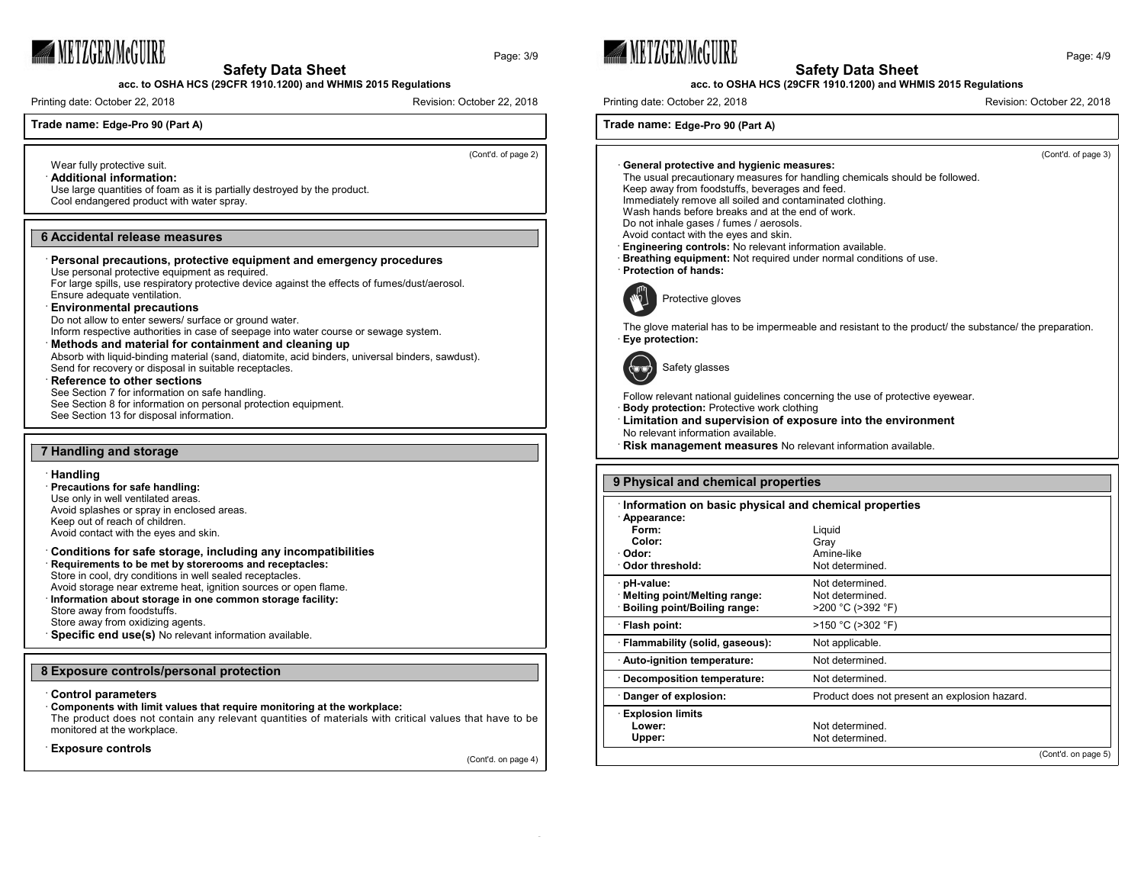

**acc. to OSHA HCS (29CFR 1910.1200) and WHMIS 2015 Regulations**

Printing date: October 22, 2018 **Revision: October 22, 2018** Revision: October 22, 2018

## **Trade name: Edge-Pro 90 (Part A)**

(Cont'd. of page 2)

Page: 3/9

Wear fully protective suit. · **Additional information:**

Use large quantities of foam as it is partially destroyed by the product. Cool endangered product with water spray.

#### **6 Accidental release measures**

#### · **Personal precautions, protective equipment and emergency procedures**

Use personal protective equipment as required.

For large spills, use respiratory protective device against the effects of fumes/dust/aerosol. Ensure adequate ventilation.

#### · **Environmental precautions**

Do not allow to enter sewers/ surface or ground water.

Inform respective authorities in case of seepage into water course or sewage system.

## · **Methods and material for containment and cleaning up**

Absorb with liquid-binding material (sand, diatomite, acid binders, universal binders, sawdust). Send for recovery or disposal in suitable receptacles.

#### **Reference to other sections**

See Section 7 for information on safe handling. See Section 8 for information on personal protection equipment. See Section 13 for disposal information.

#### **7 Handling and storage**

#### · **Handling**

· **Precautions for safe handling:** Use only in well ventilated areas. Avoid splashes or spray in enclosed areas. Keep out of reach of children. Avoid contact with the eyes and skin.

## · **Conditions for safe storage, including any incompatibilities** · **Requirements to be met by storerooms and receptacles:**

Store in cool, dry conditions in well sealed receptacles. Avoid storage near extreme heat, ignition sources or open flame.

· **Information about storage in one common storage facility:**

Store away from foodstuffs.

Store away from oxidizing agents.

**Specific end use(s)** No relevant information available.

#### **8 Exposure controls/personal protection**

#### · **Control parameters**

#### · **Components with limit values that require monitoring at the workplace:**

The product does not contain any relevant quantities of materials with critical values that have to be monitored at the workplace.

· **Exposure controls**

(Cont'd. on page 4)







## **acc. to OSHA HCS (29CFR 1910.1200) and WHMIS 2015 Regulations**

Printing date: October 22, 2018 **Revision: Printing date: October 22, 2018** Revision: October 22, 2018

**Trade name: Edge-Pro 90 (Part A)**



| : Odor threshold:                                                         | Not determined.                                         |                     |
|---------------------------------------------------------------------------|---------------------------------------------------------|---------------------|
| pH-value:<br>Melting point/Melting range:<br>Boiling point/Boiling range: | Not determined.<br>Not determined.<br>>200 °C (>392 °F) |                     |
| · Flash point:                                                            | >150 °C (>302 °F)                                       |                     |
| · Flammability (solid, gaseous):                                          | Not applicable.                                         |                     |
| Auto-ignition temperature:                                                | Not determined.                                         |                     |
| Decomposition temperature:                                                | Not determined.                                         |                     |
| Danger of explosion:                                                      | Product does not present an explosion hazard.           |                     |
| <b>Explosion limits</b><br>Lower:<br>Upper:                               | Not determined.<br>Not determined.                      |                     |
|                                                                           |                                                         | (Cont'd. on page 5) |

Page: 4/9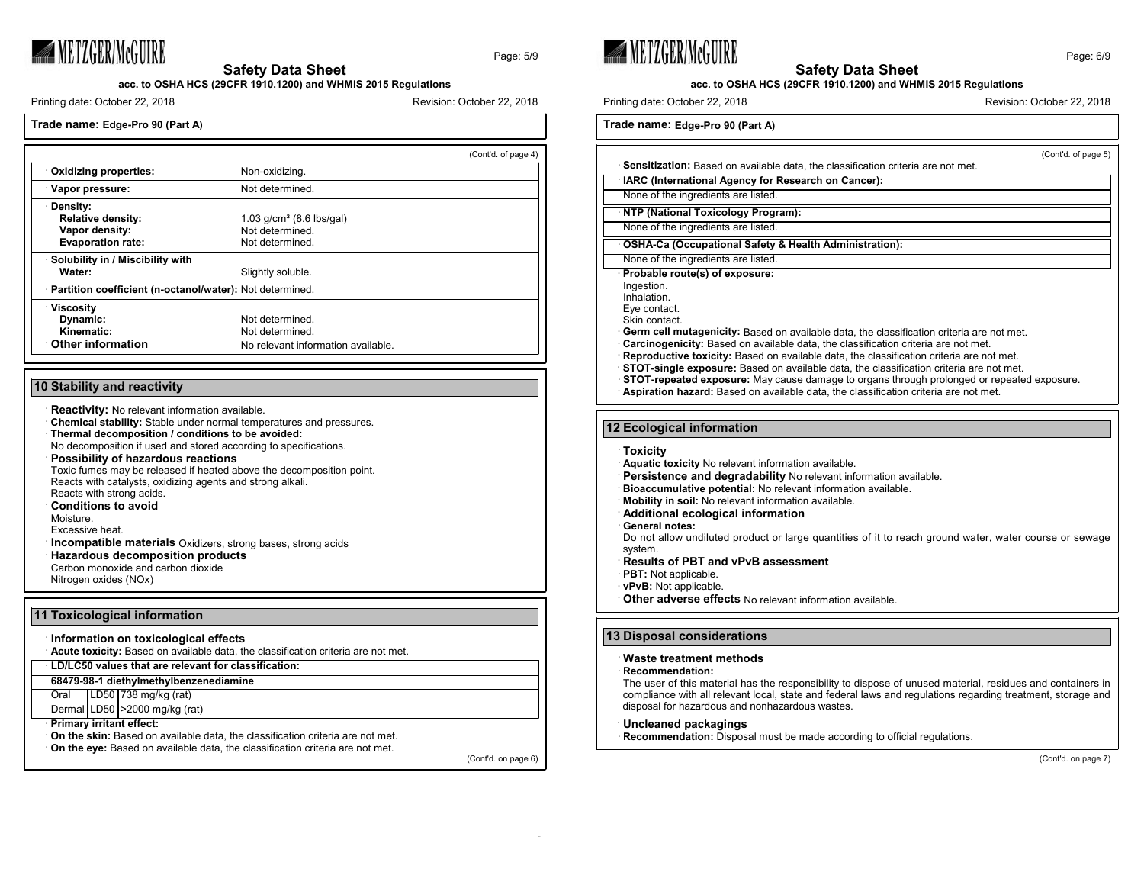

Page: 5/9

**acc. to OSHA HCS (29CFR 1910.1200) and WHMIS 2015 Regulations**

Printing date: October 22, 2018 **Revision: October 22, 2018** Revision: October 22, 2018

## **Trade name: Edge-Pro 90 (Part A)**

|                                                            |                                    | (Cont'd. of page 4) |
|------------------------------------------------------------|------------------------------------|---------------------|
| Oxidizing properties:                                      | Non-oxidizing.                     |                     |
| Vapor pressure:                                            | Not determined.                    |                     |
| · Density:                                                 |                                    |                     |
| <b>Relative density:</b>                                   | 1.03 $q/cm^3$ (8.6 lbs/gal)        |                     |
| Vapor density:                                             | Not determined                     |                     |
| <b>Evaporation rate:</b>                                   | Not determined.                    |                     |
| · Solubility in / Miscibility with                         |                                    |                     |
| Water:                                                     | Slightly soluble.                  |                     |
| · Partition coefficient (n-octanol/water): Not determined. |                                    |                     |
| <b>Viscosity</b>                                           |                                    |                     |
| Dynamic:                                                   | Not determined                     |                     |
| Kinematic:                                                 | Not determined.                    |                     |
| Other information                                          | No relevant information available. |                     |

## **10 Stability and reactivity**

- **Reactivity:** No relevant information available.
- · **Chemical stability:** Stable under normal temperatures and pressures. · **Thermal decomposition / conditions to be avoided:**
- No decomposition if used and stored according to specifications.
- · **Possibility of hazardous reactions**
- Toxic fumes may be released if heated above the decomposition point. Reacts with catalysts, oxidizing agents and strong alkali. Reacts with strong acids.
- · **Conditions to avoid**
- Moisture.

Excessive heat.

- **Incompatible materials** Oxidizers, strong bases, strong acids
- · **Hazardous decomposition products**
- Carbon monoxide and carbon dioxide
- Nitrogen oxides (NOx)

### **11 Toxicological information**

#### · **Information on toxicological effects**

· **Acute toxicity:** Based on available data, the classification criteria are not met.

· **LD/LC50 values that are relevant for classification:**

#### **68479-98-1 diethylmethylbenzenediamine**

Oral LD50 738 mg/kg (rat)

Dermal LD50 >2000 mg/kg (rat)

#### · **Primary irritant effect:**

· **On the skin:** Based on available data, the classification criteria are not met.

· **On the eye:** Based on available data, the classification criteria are not met.

(Cont'd. on page 6)







#### **acc. to OSHA HCS (29CFR 1910.1200) and WHMIS 2015 Regulations**

Printing date: October 22, 2018 **Revision: Printing date: October 22, 2018** Revision: October 22, 2018

## **Trade name: Edge-Pro 90 (Part A)**

(Cont'd. of page 5) · **Sensitization:** Based on available data, the classification criteria are not met. **IARC (International Agency for Research on Cancer):** None of the ingredients are listed. · **NTP (National Toxicology Program):** None of the ingredients are listed. · **OSHA-Ca (Occupational Safety & Health Administration):** None of the ingredients are listed. · **Probable route(s) of exposure:** Ingestion. Inhalation. Eye contact. Skin contact. Germ cell mutagenicity: Based on available data, the classification criteria are not met. · **Carcinogenicity:** Based on available data, the classification criteria are not met. · **Reproductive toxicity:** Based on available data, the classification criteria are not met. · **STOT-single exposure:** Based on available data, the classification criteria are not met. · **STOT-repeated exposure:** May cause damage to organs through prolonged or repeated exposure. · **Aspiration hazard:** Based on available data, the classification criteria are not met. **12 Ecological information** · **Toxicity** · **Aquatic toxicity** No relevant information available.

- 
- Persistence and degradability No relevant information available.
- · **Bioaccumulative potential:** No relevant information available.
- · **Mobility in soil:** No relevant information available.
- · **Additional ecological information**
- · **General notes:**

Do not allow undiluted product or large quantities of it to reach ground water, water course or sewage system.

- · **Results of PBT and vPvB assessment**
- · **PBT:** Not applicable.
- · **vPvB:** Not applicable.

· **Other adverse effects** No relevant information available.

## **13 Disposal considerations**

## · **Waste treatment methods**

#### · **Recommendation:**

The user of this material has the responsibility to dispose of unused material, residues and containers in compliance with all relevant local, state and federal laws and regulations regarding treatment, storage and disposal for hazardous and nonhazardous wastes.

#### · **Uncleaned packagings**

**Recommendation:** Disposal must be made according to official regulations.

(Cont'd. on page 7)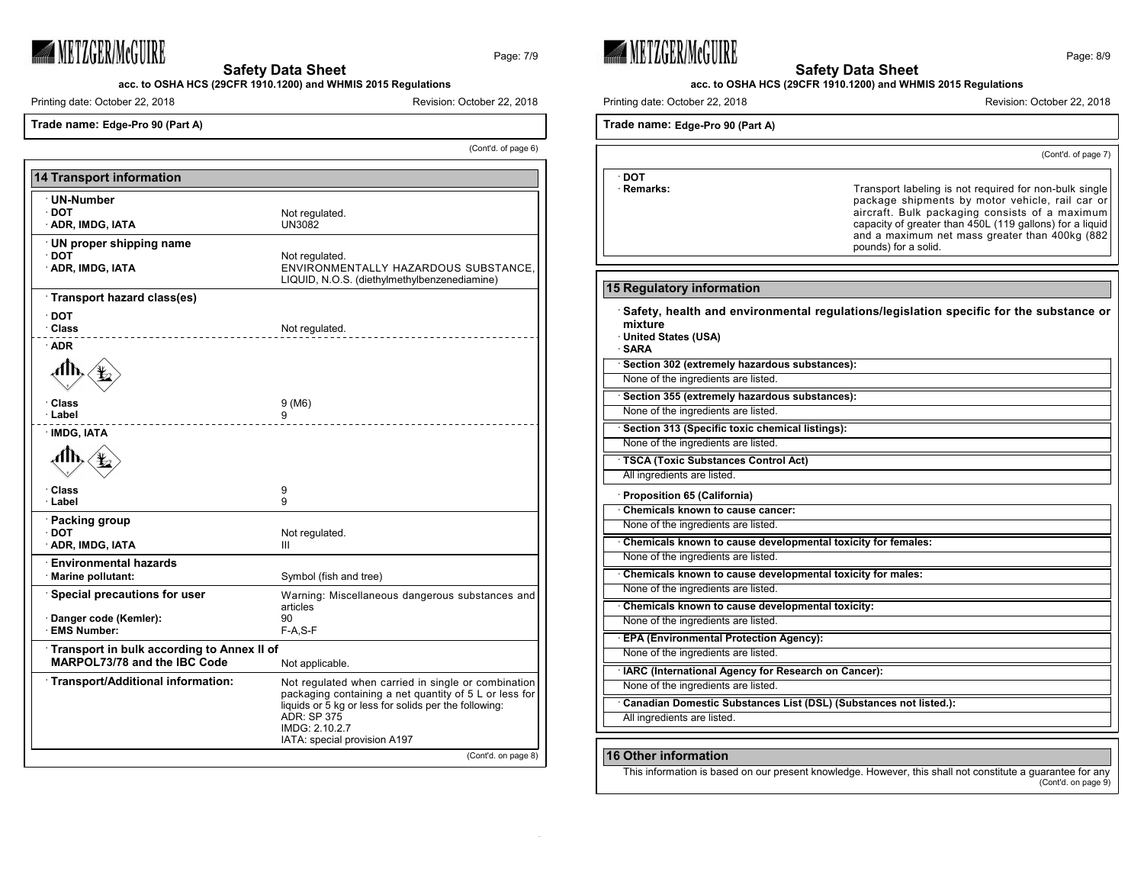

**acc. to OSHA HCS (29CFR 1910.1200) and WHMIS 2015 Regulations**

Printing date: October 22, 2018 **Revision: October 22, 2018** Revision: October 22, 2018

**Trade name: Edge-Pro 90 (Part A)**

(Cont'd. of page 6)

Page: 7/9

| <b>14 Transport information</b>                                                               |                                                                                                                                                                                                                                                |  |
|-----------------------------------------------------------------------------------------------|------------------------------------------------------------------------------------------------------------------------------------------------------------------------------------------------------------------------------------------------|--|
| ∵UN-Number<br>∙ DOT<br>· ADR, IMDG, IATA                                                      | Not regulated.<br><b>UN3082</b>                                                                                                                                                                                                                |  |
| UN proper shipping name<br>· DOT<br>· ADR, IMDG, IATA                                         | Not regulated.<br>ENVIRONMENTALLY HAZARDOUS SUBSTANCE.<br>LIQUID, N.O.S. (diethylmethylbenzenediamine)                                                                                                                                         |  |
| Transport hazard class(es)                                                                    |                                                                                                                                                                                                                                                |  |
| ∙ DOT<br>· Class                                                                              | Not regulated.                                                                                                                                                                                                                                 |  |
| · ADR                                                                                         |                                                                                                                                                                                                                                                |  |
| · Class<br>∙ Label                                                                            | 9 (M6)<br>9                                                                                                                                                                                                                                    |  |
| · IMDG, IATA<br>ՃՒ                                                                            |                                                                                                                                                                                                                                                |  |
| ∙ Class<br>· Label                                                                            | 9<br>9                                                                                                                                                                                                                                         |  |
| · Packing group<br>∙ DOT<br>· ADR, IMDG, IATA                                                 | Not regulated.<br>Ш                                                                                                                                                                                                                            |  |
| <b>Environmental hazards</b><br>· Marine pollutant:                                           | Symbol (fish and tree)                                                                                                                                                                                                                         |  |
| Special precautions for user<br>Danger code (Kemler):<br><b>EMS Number:</b>                   | Warning: Miscellaneous dangerous substances and<br>articles<br>90<br>F-A,S-F                                                                                                                                                                   |  |
| Transport in bulk according to Annex II of<br>MARPOL73/78 and the IBC Code<br>Not applicable. |                                                                                                                                                                                                                                                |  |
| · Transport/Additional information:                                                           | Not regulated when carried in single or combination<br>packaging containing a net quantity of 5 L or less for<br>liquids or 5 kg or less for solids per the following:<br><b>ADR: SP 375</b><br>IMDG: 2.10.2.7<br>IATA: special provision A197 |  |
|                                                                                               | (Cont'd. on page 8)                                                                                                                                                                                                                            |  |



· **DOT**



| · Remarks:                                                        | Transport labeling is not required for non-bulk single<br>package shipments by motor vehicle, rail car or<br>aircraft. Bulk packaging consists of a maximum<br>capacity of greater than 450L (119 gallons) for a liquid<br>and a maximum net mass greater than 400kg (882<br>pounds) for a solid. |
|-------------------------------------------------------------------|---------------------------------------------------------------------------------------------------------------------------------------------------------------------------------------------------------------------------------------------------------------------------------------------------|
|                                                                   |                                                                                                                                                                                                                                                                                                   |
| 15 Regulatory information                                         |                                                                                                                                                                                                                                                                                                   |
| mixture<br>United States (USA)<br>∙SARA                           | Safety, health and environmental regulations/legislation specific for the substance or                                                                                                                                                                                                            |
| Section 302 (extremely hazardous substances):                     |                                                                                                                                                                                                                                                                                                   |
| None of the ingredients are listed.                               |                                                                                                                                                                                                                                                                                                   |
| Section 355 (extremely hazardous substances):                     |                                                                                                                                                                                                                                                                                                   |
| None of the ingredients are listed.                               |                                                                                                                                                                                                                                                                                                   |
| Section 313 (Specific toxic chemical listings):                   |                                                                                                                                                                                                                                                                                                   |
| None of the ingredients are listed.                               |                                                                                                                                                                                                                                                                                                   |
| <b>TSCA (Toxic Substances Control Act)</b>                        |                                                                                                                                                                                                                                                                                                   |
| All ingredients are listed.                                       |                                                                                                                                                                                                                                                                                                   |
| Proposition 65 (California)                                       |                                                                                                                                                                                                                                                                                                   |
| Chemicals known to cause cancer:                                  |                                                                                                                                                                                                                                                                                                   |
| None of the ingredients are listed.                               |                                                                                                                                                                                                                                                                                                   |
| Chemicals known to cause developmental toxicity for females:      |                                                                                                                                                                                                                                                                                                   |
| None of the ingredients are listed.                               |                                                                                                                                                                                                                                                                                                   |
| Chemicals known to cause developmental toxicity for males:        |                                                                                                                                                                                                                                                                                                   |
| None of the ingredients are listed.                               |                                                                                                                                                                                                                                                                                                   |
| Chemicals known to cause developmental toxicity:                  |                                                                                                                                                                                                                                                                                                   |
| None of the ingredients are listed.                               |                                                                                                                                                                                                                                                                                                   |
| <b>EPA (Environmental Protection Agency):</b>                     |                                                                                                                                                                                                                                                                                                   |
| None of the ingredients are listed.                               |                                                                                                                                                                                                                                                                                                   |
| · IARC (International Agency for Research on Cancer):             |                                                                                                                                                                                                                                                                                                   |
| None of the ingredients are listed.                               |                                                                                                                                                                                                                                                                                                   |
| Canadian Domestic Substances List (DSL) (Substances not listed.): |                                                                                                                                                                                                                                                                                                   |
| All ingredients are listed.                                       |                                                                                                                                                                                                                                                                                                   |
|                                                                   |                                                                                                                                                                                                                                                                                                   |

## **16 Other information**

This information is based on our present knowledge. However, this shall not constitute a guarantee for any (Cont'd. on page 9)

(Cont'd. of page 7)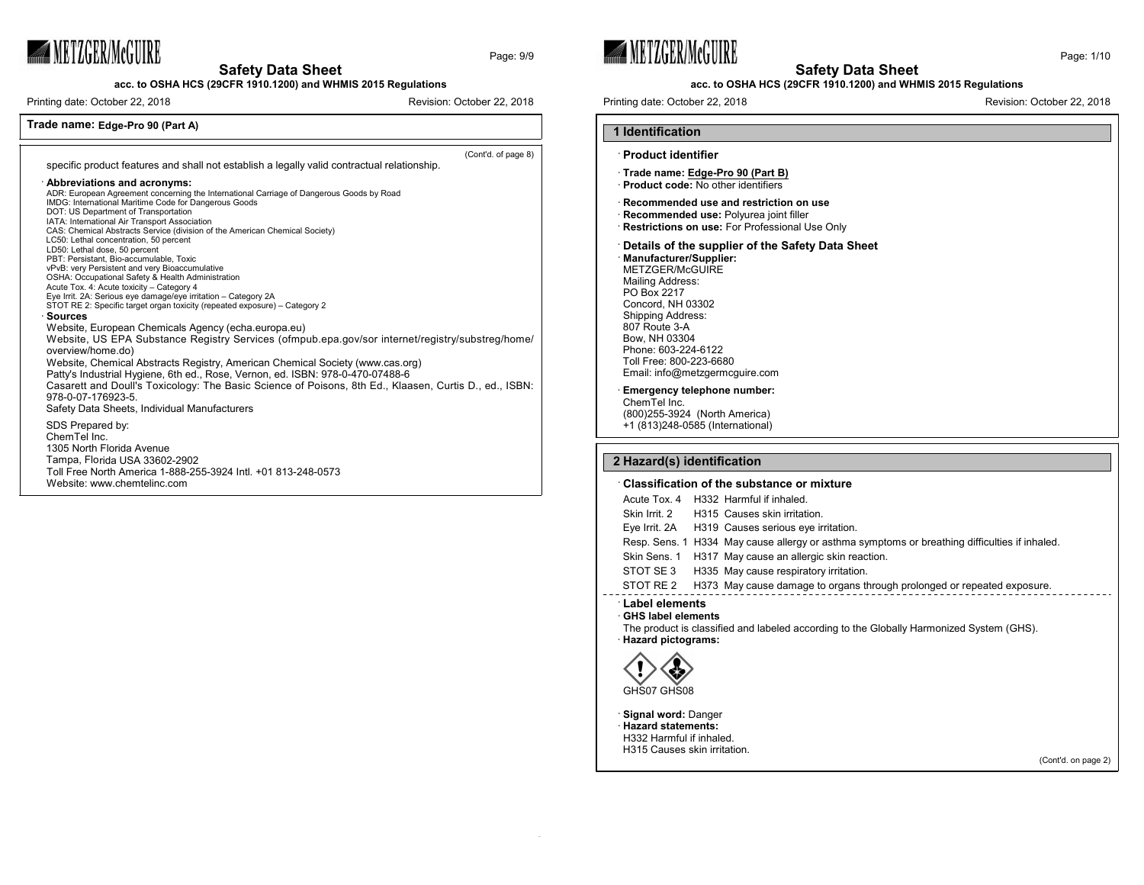# **WETZGER/McGUIRE**

**Safety Data Sheet**

**acc. to OSHA HCS (29CFR 1910.1200) and WHMIS 2015 Regulations**

Printing date: October 22, 2018 **Revision: Campaigneer 22, 2018** Revision: October 22, 2018

## **Trade name: Edge-Pro 90 (Part A)**

(Cont'd. of page 8)

Page: 9/9

specific product features and shall not establish a legally valid contractual relationship.

Toll Free North America 1-888-255-3924 Intl. +01 813-248-0573

#### · **Abbreviations and acronyms:**

Website: www.chemtelinc.com

ADR: European Agreement concerning the International Carriage of Dangerous Goods by Road IMDG: International Maritime Code for Dangerous Goods DOT: US Department of Transportation IATA: International Air Transport Association CAS: Chemical Abstracts Service (division of the American Chemical Society) LC50: Lethal concentration, 50 percent LD50: Lethal dose, 50 percent PBT: Persistant, Bio-accumulable, Toxic vPvB: very Persistent and very Bioaccumulative OSHA: Occupational Safety & Health Administration Acute Tox. 4: Acute toxicity – Category 4 Eye Irrit. 2A: Serious eye damage/eye irritation – Category 2A STOT RE 2: Specific target organ toxicity (repeated exposure) – Category 2 · **Sources** Website, European Chemicals Agency (echa.europa.eu) Website, US EPA Substance Registry Services (ofmpub.epa.gov/sor internet/registry/substreg/home/ overview/home.do) Website, Chemical Abstracts Registry, American Chemical Society (www.cas.org) Patty's Industrial Hygiene, 6th ed., Rose, Vernon, ed. ISBN: 978-0-470-07488-6 Casarett and Doull's Toxicology: The Basic Science of Poisons, 8th Ed., Klaasen, Curtis D., ed., ISBN: 978-0-07-176923-5. Safety Data Sheets, Individual Manufacturers SDS Prepared by: ChemTel Inc. 1305 North Florida Avenue Tampa, Florida USA 33602-2902





## **acc. to OSHA HCS (29CFR 1910.1200) and WHMIS 2015 Regulations**

Printing date: October 22, 2018 **Revision: Printing date: October 22, 2018** Revision: October 22, 2018

**1 Identification**

## · **Product identifier** · **Trade name: Edge-Pro 90 (Part B)** · **Product code:** No other identifiers · **Recommended use and restriction on use** · **Recommended use:** Polyurea joint filler **Restrictions on use:** For Professional Use Only · **Details of the supplier of the Safety Data Sheet**

· **Manufacturer/Supplier:** METZGER/McGUIRE Mailing Address: PO Box 2217 Concord, NH 03302 Shipping Address: 807 Route 3-A Bow, NH 03304 Phone: 603-224-6122 Toll Free: 800-223-6680 Email: info@metzgermcguire.com

#### **Emergency telephone number:**

ChemTel Inc. (800)255-3924 (North America) +1 (813)248-0585 (International)

#### **2 Hazard(s) identification**

#### · **Classification of the substance or mixture**

| Label elements |  |                                                                                               |
|----------------|--|-----------------------------------------------------------------------------------------------|
| STOT RE 2      |  | H373 May cause damage to organs through prolonged or repeated exposure.                       |
|                |  | STOT SE 3 H335 May cause respiratory irritation.                                              |
|                |  | Skin Sens. 1 H317 May cause an allergic skin reaction.                                        |
|                |  | Resp. Sens. 1 H334 May cause allergy or asthma symptoms or breathing difficulties if inhaled. |
|                |  | Eye Irrit. 2A H319 Causes serious eye irritation.                                             |
| Skin Irrit, 2  |  | H315 Causes skin irritation.                                                                  |
|                |  | Acute Tox. 4 H332 Harmful if inhaled.                                                         |
|                |  |                                                                                               |

## · **GHS label elements**

 $\sim$ 

The product is classified and labeled according to the Globally Harmonized System (GHS). · **Hazard pictograms:**



· **Signal word:** Danger · **Hazard statements:** H332 Harmful if inhaled. H315 Causes skin irritation.

(Cont'd. on page 2)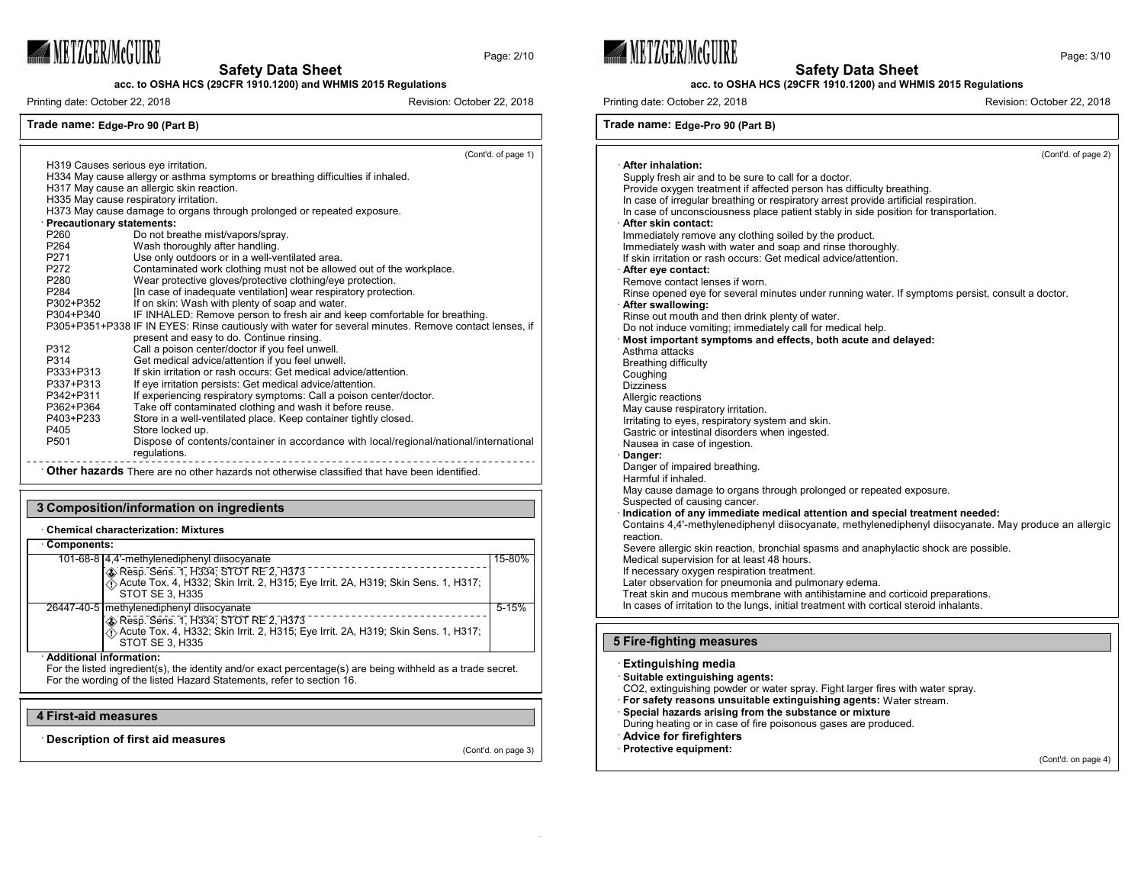

**acc. to OSHA HCS (29CFR 1910.1200) and WHMIS 2015 Regulations**

Printing date: October 22, 2018 **Revision: Campaigneer 22, 2018** Revision: October 22, 2018

Page: 2/10

(Cont'd. of page 1)

## **Trade name: Edge-Pro 90 (Part B)**

H319 Causes serious eye irritation.

H334 May cause allergy or asthma symptoms or breathing difficulties if inhaled. H317 May cause an allergic skin reaction. H335 May cause respiratory irritation. H373 May cause damage to organs through prolonged or repeated exposure. · **Precautionary statements:** P260 Do not breathe mist/vapors/spray.<br>P264 Wash thoroughly after handling. P264 Wash thoroughly after handling.<br>P271 Use only outdoors or in a well-ve P271 Use only outdoors or in a well-ventilated area.<br>P272 Contaminated work clothing must not be allow P272 Contaminated work clothing must not be allowed out of the workplace.<br>P280 Wear protective gloves/protective clothing/eve protection P280 Wear protective gloves/protective clothing/eye protection.<br>P284 **In case of inadequate ventilation** wear respiratory protec P284 [In case of inadequate ventilation] wear respiratory protection.<br>P302+P352 [f on skin: Wash with plenty of soap and water. P302+P352 If on skin: Wash with plenty of soap and water.<br>P304+P340 IF INHALED: Remove person to fresh air and k IF INHALED: Remove person to fresh air and keep comfortable for breathing. P305+P351+P338 IF IN EYES: Rinse cautiously with water for several minutes. Remove contact lenses, if present and easy to do. Continue rinsing. P312 Call a poison center/doctor if you feel unwell.<br>P314 Get medical advice/attention if you feel unwe P314 Get medical advice/attention if you feel unwell. P333+P313 If skin irritation or rash occurs: Get medical advice/attention.<br>P337+P313 If eve irritation persists: Get medical advice/attention. P337+P313 If eye irritation persists: Get medical advice/attention.<br>P342+P311 If experiencing respiratory symptoms: Call a poison c P342+P311 If experiencing respiratory symptoms: Call a poison center/doctor.<br>P362+P364 Take off contaminated clothing and wash it before reuse. P362+P364 Take off contaminated clothing and wash it before reuse.<br>P403+P233 Store in a well-ventilated place. Keep container tightly clos P403+P233 Store in a well-ventilated place. Keep container tightly closed.<br>P405 Store locked up. P405 Store locked up.<br>P501 Dispose of cont Dispose of contents/container in accordance with local/regional/national/international regulations. · **Other hazards** There are no other hazards not otherwise classified that have been identified.

## **3 Composition/information on ingredients**

#### · **Chemical characterization: Mixtures**

| Components:                                                                                                                                                  |           |
|--------------------------------------------------------------------------------------------------------------------------------------------------------------|-----------|
| 101-68-8 4,4'-methylenediphenyl diisocyanate                                                                                                                 | 15-80%    |
| - Communication of RE 2, H373<br>A Resp. Sens. 1, H334; STOT RE 2, H373<br>Acute Tox. 4, H332; Skin Irrit. 2, H315; Eye Irrit. 2A, H319; Skin Sens. 1, H317; |           |
| STOT SE 3, H335                                                                                                                                              |           |
|                                                                                                                                                              |           |
| 26447-40-5   methylenediphenyl diisocyanate                                                                                                                  | $5 - 15%$ |
| Resp. Sens. 1, H334; STOT RE 2, H373                                                                                                                         |           |
| Acute Tox. 4, H332; Skin Irrit. 2, H315; Eye Irrit. 2A, H319; Skin Sens. 1, H317;                                                                            |           |
| STOT SE 3, H335                                                                                                                                              |           |

#### · **Additional information:**

For the listed ingredient(s), the identity and/or exact percentage(s) are being withheld as a trade secret. For the wording of the listed Hazard Statements, refer to section 16.

#### **4 First-aid measures**

· **Description of first aid measures**

(Cont'd. on page 3)



· **After inhalation:**



#### **acc. to OSHA HCS (29CFR 1910.1200) and WHMIS 2015 Regulations**

Printing date: October 22, 2018 **Revision: Printing date: October 22, 2018** Revision: October 22, 2018

**Trade name: Edge-Pro 90 (Part B)**

Supply fresh air and to be sure to call for a doctor. Provide oxygen treatment if affected person has difficulty breathing. In case of irregular breathing or respiratory arrest provide artificial respiration. In case of unconsciousness place patient stably in side position for transportation. · **After skin contact:** Immediately remove any clothing soiled by the product. Immediately wash with water and soap and rinse thoroughly. If skin irritation or rash occurs: Get medical advice/attention. · **After eye contact:** Remove contact lenses if worn. Rinse opened eye for several minutes under running water. If symptoms persist, consult a doctor. · **After swallowing:** Rinse out mouth and then drink plenty of water. Do not induce vomiting; immediately call for medical help. · **Most important symptoms and effects, both acute and delayed:** Asthma attacks Breathing difficulty Coughing Dizziness Allergic reactions May cause respiratory irritation. Irritating to eyes, respiratory system and skin. Gastric or intestinal disorders when ingested. Nausea in case of ingestion. · **Danger:** Danger of impaired breathing. Harmful if inhaled. May cause damage to organs through prolonged or repeated exposure. Suspected of causing cancer. · **Indication of any immediate medical attention and special treatment needed:** Contains 4,4'-methylenediphenyl diisocyanate, methylenediphenyl diisocyanate. May produce an allergic reaction. Severe allergic skin reaction, bronchial spasms and anaphylactic shock are possible. Medical supervision for at least 48 hours. If necessary oxygen respiration treatment. Later observation for pneumonia and pulmonary edema. Treat skin and mucous membrane with antihistamine and corticoid preparations. In cases of irritation to the lungs, initial treatment with cortical steroid inhalants.

## **5 Fire-fighting measures**



(Cont'd. of page 2)

(Cont'd. on page 4)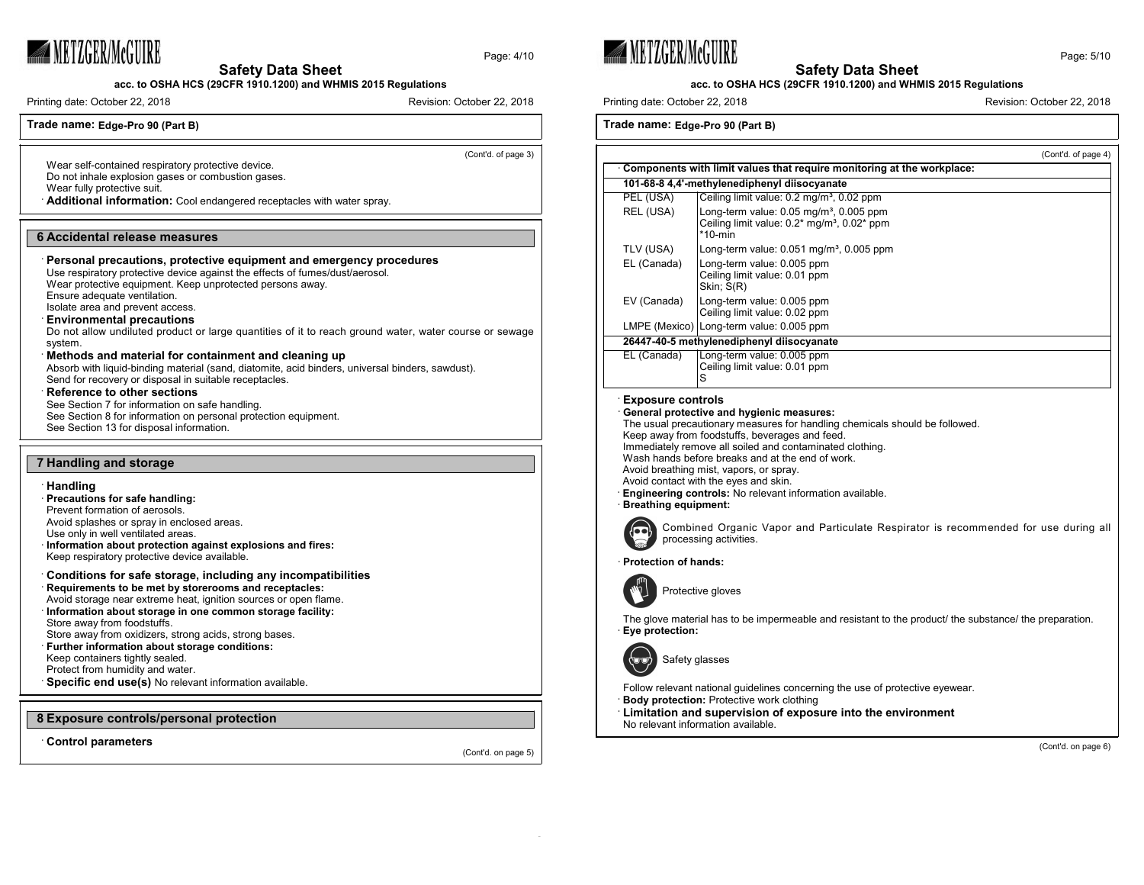

Page: 4/10

**acc. to OSHA HCS (29CFR 1910.1200) and WHMIS 2015 Regulations**

**Safety Data Sheet**

Printing date: October 22, 2018 **Revision: Campaigneer 22, 2018** Revision: October 22, 2018

**Trade name: Edge-Pro 90 (Part B)**

(Cont'd. of page 3)

Wear self-contained respiratory protective device. Do not inhale explosion gases or combustion gases.

Wear fully protective suit.

· **Additional information:** Cool endangered receptacles with water spray.

#### **6 Accidental release measures**

## · **Personal precautions, protective equipment and emergency procedures**

Use respiratory protective device against the effects of fumes/dust/aerosol.

Wear protective equipment. Keep unprotected persons away. Ensure adequate ventilation.

Isolate area and prevent access.

## · **Environmental precautions**

Do not allow undiluted product or large quantities of it to reach ground water, water course or sewage system.

## · **Methods and material for containment and cleaning up**

Absorb with liquid-binding material (sand, diatomite, acid binders, universal binders, sawdust). Send for recovery or disposal in suitable receptacles.

#### **Reference to other sections**

See Section 7 for information on safe handling.

See Section 8 for information on personal protection equipment. See Section 13 for disposal information.

## **7 Handling and storage**

#### · **Handling**

- · **Precautions for safe handling:**
- Prevent formation of aerosols.
- Avoid splashes or spray in enclosed areas.
- Use only in well ventilated areas.
- · **Information about protection against explosions and fires:** Keep respiratory protective device available.
- · **Conditions for safe storage, including any incompatibilities**
- · **Requirements to be met by storerooms and receptacles:**
- Avoid storage near extreme heat, ignition sources or open flame. · **Information about storage in one common storage facility:**
- Store away from foodstuffs.
- Store away from oxidizers, strong acids, strong bases.
- · **Further information about storage conditions:**
- Keep containers tightly sealed.
- Protect from humidity and water.

**Specific end use(s)** No relevant information available.

#### **8 Exposure controls/personal protection**

· **Control parameters**

(Cont'd. on page 5)







Printing date: October 22, 2018 **Revision: Printing date: October 22, 2018** Revision: October 22, 2018

## **Trade name: Edge-Pro 90 (Part B)**

|                                                                                                                                                                                                                                                                                                                                                                                                                                                                                                                                                                    | (Cont'd. of page 4)                                                                                                           |  |
|--------------------------------------------------------------------------------------------------------------------------------------------------------------------------------------------------------------------------------------------------------------------------------------------------------------------------------------------------------------------------------------------------------------------------------------------------------------------------------------------------------------------------------------------------------------------|-------------------------------------------------------------------------------------------------------------------------------|--|
|                                                                                                                                                                                                                                                                                                                                                                                                                                                                                                                                                                    | Components with limit values that require monitoring at the workplace:                                                        |  |
|                                                                                                                                                                                                                                                                                                                                                                                                                                                                                                                                                                    | 101-68-8 4,4'-methylenediphenyl diisocyanate                                                                                  |  |
| PEL (USA)                                                                                                                                                                                                                                                                                                                                                                                                                                                                                                                                                          | Ceiling limit value: 0.2 mg/m <sup>3</sup> , 0.02 ppm                                                                         |  |
| REL (USA)                                                                                                                                                                                                                                                                                                                                                                                                                                                                                                                                                          | Long-term value: $0.05$ mg/m <sup>3</sup> , $0.005$ ppm<br>Ceiling limit value: 0.2* mg/m <sup>3</sup> , 0.02* ppm<br>*10-min |  |
| TLV (USA)                                                                                                                                                                                                                                                                                                                                                                                                                                                                                                                                                          | Long-term value: $0.051$ mg/m <sup>3</sup> , $0.005$ ppm                                                                      |  |
| EL (Canada)                                                                                                                                                                                                                                                                                                                                                                                                                                                                                                                                                        | Long-term value: 0.005 ppm<br>Ceiling limit value: 0.01 ppm<br>Skin; S(R)                                                     |  |
| EV (Canada)                                                                                                                                                                                                                                                                                                                                                                                                                                                                                                                                                        | Long-term value: 0.005 ppm<br>Ceiling limit value: 0.02 ppm                                                                   |  |
|                                                                                                                                                                                                                                                                                                                                                                                                                                                                                                                                                                    | LMPE (Mexico) Long-term value: 0.005 ppm                                                                                      |  |
|                                                                                                                                                                                                                                                                                                                                                                                                                                                                                                                                                                    | 26447-40-5 methylenediphenyl diisocyanate                                                                                     |  |
| EL (Canada)                                                                                                                                                                                                                                                                                                                                                                                                                                                                                                                                                        | Long-term value: 0.005 ppm<br>Ceiling limit value: 0.01 ppm<br>S                                                              |  |
| General protective and hygienic measures:<br>The usual precautionary measures for handling chemicals should be followed.<br>Keep away from foodstuffs, beverages and feed.<br>Immediately remove all soiled and contaminated clothing.<br>Wash hands before breaks and at the end of work.<br>Avoid breathing mist, vapors, or spray.<br>Avoid contact with the eyes and skin.<br><b>Engineering controls:</b> No relevant information available.<br>· Breathing equipment:<br>Combined Organic Vapor and Particulate Respirator is recommended for use during all |                                                                                                                               |  |
| processing activities.<br>Protection of hands:                                                                                                                                                                                                                                                                                                                                                                                                                                                                                                                     |                                                                                                                               |  |
|                                                                                                                                                                                                                                                                                                                                                                                                                                                                                                                                                                    |                                                                                                                               |  |
| Protective gloves                                                                                                                                                                                                                                                                                                                                                                                                                                                                                                                                                  |                                                                                                                               |  |
| The glove material has to be impermeable and resistant to the product/ the substance/ the preparation.<br>Eve protection:                                                                                                                                                                                                                                                                                                                                                                                                                                          |                                                                                                                               |  |
| Safety glasses                                                                                                                                                                                                                                                                                                                                                                                                                                                                                                                                                     |                                                                                                                               |  |
| Follow relevant national guidelines concerning the use of protective eyewear.                                                                                                                                                                                                                                                                                                                                                                                                                                                                                      |                                                                                                                               |  |

**Body protection: Protective work clothing** 

· **Limitation and supervision of exposure into the environment** No relevant information available.

(Cont'd. on page 6)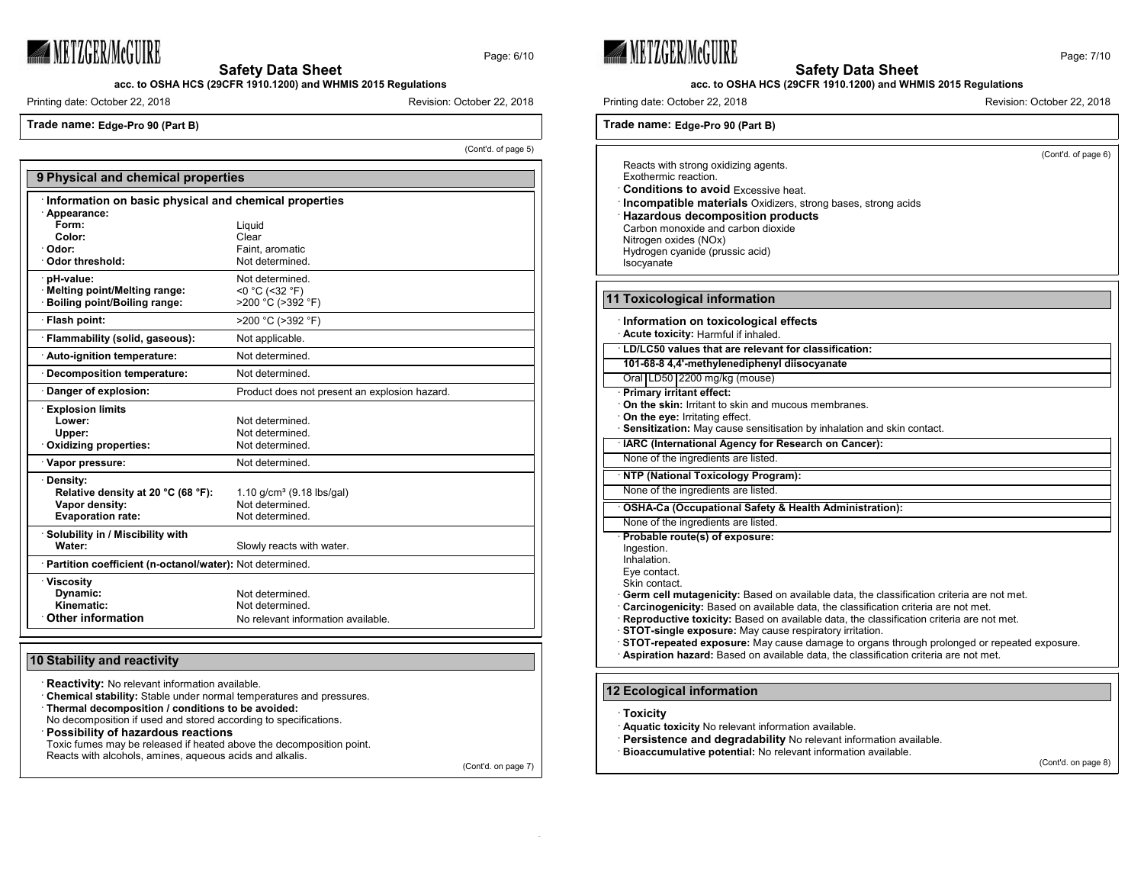# METZGER/McGUIRE

Page: 6/10

**Safety Data Sheet**

**acc. to OSHA HCS (29CFR 1910.1200) and WHMIS 2015 Regulations**

Printing date: October 22, 2018 **Revision: October 22, 2018** Revision: October 22, 2018

**Trade name: Edge-Pro 90 (Part B)**

(Cont'd. of page 5)

| 9 Physical and chemical properties                         |                                               |  |  |
|------------------------------------------------------------|-----------------------------------------------|--|--|
| Information on basic physical and chemical properties      |                                               |  |  |
| · Appearance:                                              |                                               |  |  |
| Form:                                                      | Liquid                                        |  |  |
| Color:                                                     | Clear                                         |  |  |
| · Odor:<br>· Odor threshold:                               | Faint, aromatic<br>Not determined.            |  |  |
|                                                            |                                               |  |  |
| · pH-value:                                                | Not determined.                               |  |  |
| · Melting point/Melting range:                             | $<$ 0 °C (<32 °F)                             |  |  |
| Boiling point/Boiling range:                               | >200 °C (>392 °F)                             |  |  |
| · Flash point:                                             | >200 °C (>392 °F)                             |  |  |
| · Flammability (solid, gaseous):                           | Not applicable.                               |  |  |
| · Auto-ignition temperature:                               | Not determined.                               |  |  |
| · Decomposition temperature:                               | Not determined.                               |  |  |
| Danger of explosion:                                       | Product does not present an explosion hazard. |  |  |
| <b>Explosion limits</b>                                    |                                               |  |  |
| Lower:                                                     | Not determined.                               |  |  |
| Upper:                                                     | Not determined.                               |  |  |
| Oxidizing properties:                                      | Not determined.                               |  |  |
| · Vapor pressure:                                          | Not determined.                               |  |  |
| · Density:                                                 |                                               |  |  |
| Relative density at 20 °C (68 °F):                         | 1.10 $q/cm^3$ (9.18 lbs/gal)                  |  |  |
| Vapor density:                                             | Not determined.                               |  |  |
| <b>Evaporation rate:</b>                                   | Not determined.                               |  |  |
| · Solubility in / Miscibility with                         |                                               |  |  |
| Water:                                                     | Slowly reacts with water.                     |  |  |
| · Partition coefficient (n-octanol/water): Not determined. |                                               |  |  |
| · Viscosity                                                |                                               |  |  |
| Dynamic:                                                   | Not determined.                               |  |  |
| Kinematic:                                                 | Not determined.                               |  |  |
| Other information                                          | No relevant information available.            |  |  |

## **10 Stability and reactivity**

· **Reactivity:** No relevant information available.

· **Chemical stability:** Stable under normal temperatures and pressures.

· **Thermal decomposition / conditions to be avoided:**

No decomposition if used and stored according to specifications.

· **Possibility of hazardous reactions**

Toxic fumes may be released if heated above the decomposition point. Reacts with alcohols, amines, aqueous acids and alkalis.

(Cont'd. on page 7)



**11** 



## **acc. to OSHA HCS (29CFR 1910.1200) and WHMIS 2015 Regulations**

Printing date: October 22, 2018 **Revision: October 22, 2018** Revision: October 22, 2018

**Trade name: Edge-Pro 90 (Part B)**

| ade name: Edge-Pro 90 (Part B)                                                                                                                                                                                                                                                                                                                                                                                                                                                                                                                                                             |
|--------------------------------------------------------------------------------------------------------------------------------------------------------------------------------------------------------------------------------------------------------------------------------------------------------------------------------------------------------------------------------------------------------------------------------------------------------------------------------------------------------------------------------------------------------------------------------------------|
| (Cont'd. of page 6)<br>Reacts with strong oxidizing agents.<br>Exothermic reaction.<br><b>Conditions to avoid Excessive heat.</b><br><b>Incompatible materials</b> Oxidizers, strong bases, strong acids<br><b>Hazardous decomposition products</b><br>Carbon monoxide and carbon dioxide<br>Nitrogen oxides (NOx)<br>Hydrogen cyanide (prussic acid)<br>Isocyanate                                                                                                                                                                                                                        |
| <b>Toxicological information</b>                                                                                                                                                                                                                                                                                                                                                                                                                                                                                                                                                           |
| Information on toxicological effects<br>Acute toxicity: Harmful if inhaled.                                                                                                                                                                                                                                                                                                                                                                                                                                                                                                                |
| LD/LC50 values that are relevant for classification:                                                                                                                                                                                                                                                                                                                                                                                                                                                                                                                                       |
| 101-68-8 4,4'-methylenediphenyl diisocyanate                                                                                                                                                                                                                                                                                                                                                                                                                                                                                                                                               |
| Oral LD50 2200 mg/kg (mouse)                                                                                                                                                                                                                                                                                                                                                                                                                                                                                                                                                               |
| <b>Primary irritant effect:</b><br><b>On the skin:</b> Irritant to skin and mucous membranes.<br>On the eye: Irritating effect.                                                                                                                                                                                                                                                                                                                                                                                                                                                            |
| Sensitization: May cause sensitisation by inhalation and skin contact.                                                                                                                                                                                                                                                                                                                                                                                                                                                                                                                     |
| IARC (International Agency for Research on Cancer):                                                                                                                                                                                                                                                                                                                                                                                                                                                                                                                                        |
| None of the ingredients are listed.                                                                                                                                                                                                                                                                                                                                                                                                                                                                                                                                                        |
| <b>NTP (National Toxicology Program):</b>                                                                                                                                                                                                                                                                                                                                                                                                                                                                                                                                                  |
| None of the ingredients are listed.                                                                                                                                                                                                                                                                                                                                                                                                                                                                                                                                                        |
| OSHA-Ca (Occupational Safety & Health Administration):                                                                                                                                                                                                                                                                                                                                                                                                                                                                                                                                     |
| None of the ingredients are listed.<br>Probable route(s) of exposure:                                                                                                                                                                                                                                                                                                                                                                                                                                                                                                                      |
| Ingestion.<br>Inhalation.<br>Eye contact.<br>Skin contact.<br>Germ cell mutagenicity: Based on available data, the classification criteria are not met.<br>Carcinogenicity: Based on available data, the classification criteria are not met.<br>Reproductive toxicity: Based on available data, the classification criteria are not met.<br>STOT-single exposure: May cause respiratory irritation.<br>STOT-repeated exposure: May cause damage to organs through prolonged or repeated exposure.<br>Aspiration hazard: Based on available data, the classification criteria are not met. |

## **12 Ecological information**

· **Toxicity**

· **Aquatic toxicity** No relevant information available.

- · **Persistence and degradability** No relevant information available.
- · **Bioaccumulative potential:** No relevant information available.

(Cont'd. on page 8)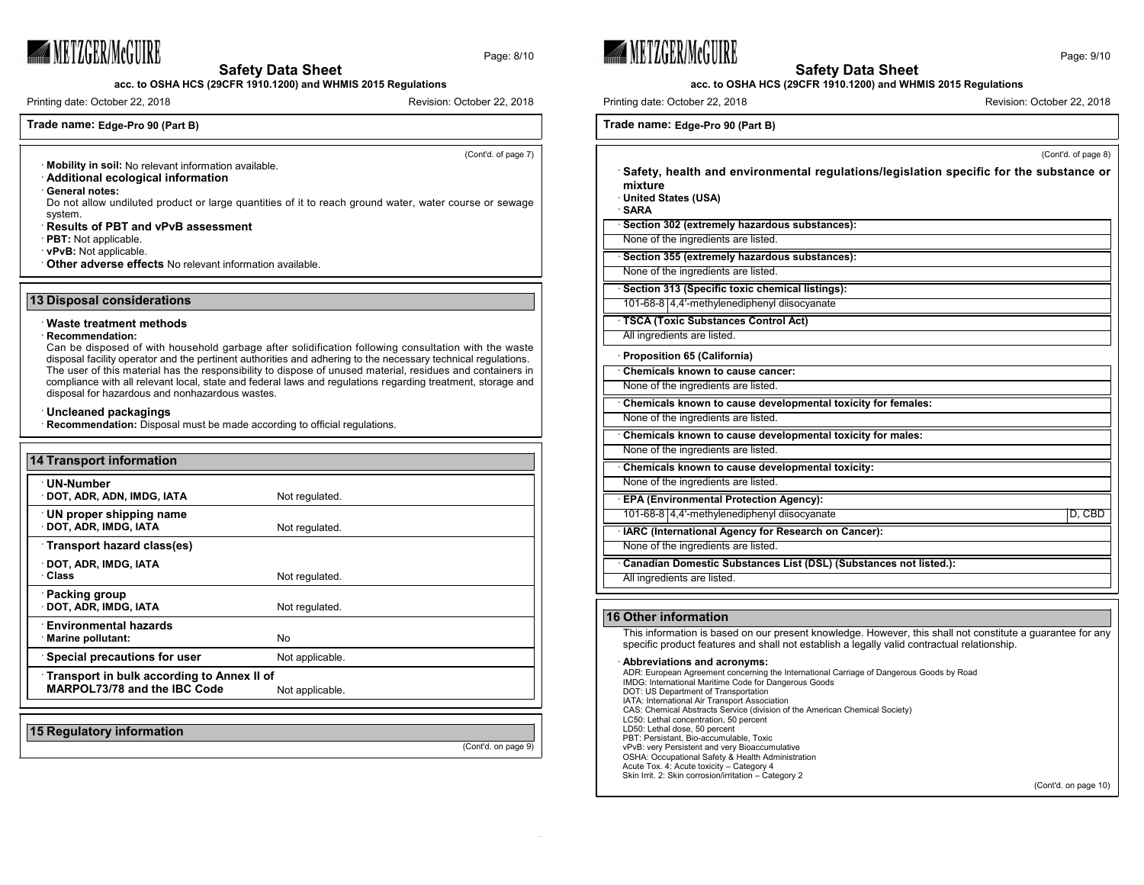

Page: 8/10

**METZGERIMCGUIRE** 

Page: 9/10

#### **Safety Data Sheet acc. to OSHA HCS (29CFR 1910.1200) and WHMIS 2015 Regulations**

Printing date: October 22, 2018 **Revision: Campaigneer 22, 2018** Revision: October 22, 2018

## **Trade name: Edge-Pro 90 (Part B)**

(Cont'd. of page 7)

- · **Mobility in soil:** No relevant information available.
- · **Additional ecological information**

· **General notes:**

Do not allow undiluted product or large quantities of it to reach ground water, water course or sewage system.

**Safety Data Sheet acc. to OSHA HCS (29CFR 1910.1200) and WHMIS 2015 Regulations**

- · **Results of PBT and vPvB assessment**
- · **PBT:** Not applicable.

· **vPvB:** Not applicable.

· **Other adverse effects** No relevant information available.

#### **13 Disposal considerations**

#### · **Waste treatment methods**

#### · **Recommendation:**

Can be disposed of with household garbage after solidification following consultation with the waste disposal facility operator and the pertinent authorities and adhering to the necessary technical regulations. The user of this material has the responsibility to dispose of unused material, residues and containers in compliance with all relevant local, state and federal laws and regulations regarding treatment, storage and disposal for hazardous and nonhazardous wastes.

#### · **Uncleaned packagings**

· **Recommendation:** Disposal must be made according to official regulations.

| <b>14 Transport information</b>                                            |                 |
|----------------------------------------------------------------------------|-----------------|
| · UN-Number<br>· DOT, ADR, ADN, IMDG, IATA                                 | Not regulated.  |
| UN proper shipping name<br>· DOT, ADR, IMDG, IATA                          | Not regulated.  |
| Transport hazard class(es)                                                 |                 |
| · DOT, ADR, IMDG, IATA<br>· Class                                          | Not regulated.  |
| · Packing group<br>DOT, ADR, IMDG, IATA                                    | Not regulated.  |
| <b>Environmental hazards</b><br>· Marine pollutant:                        | No.             |
| · Special precautions for user                                             | Not applicable. |
| Transport in bulk according to Annex II of<br>MARPOL73/78 and the IBC Code | Not applicable. |
|                                                                            |                 |
| 15 Regulatory information                                                  |                 |

(Cont'd. on page 9)

| Printing date: October 22, 2018                                                                                                         | Revision: October 22, 2018 |
|-----------------------------------------------------------------------------------------------------------------------------------------|----------------------------|
| Trade name: Edge-Pro 90 (Part B)                                                                                                        |                            |
|                                                                                                                                         | (Cont'd. of page 8)        |
| Safety, health and environmental regulations/legislation specific for the substance or<br>mixture<br>United States (USA)<br><b>SARA</b> |                            |
| Section 302 (extremely hazardous substances):                                                                                           |                            |
| None of the ingredients are listed.                                                                                                     |                            |
| Section 355 (extremely hazardous substances):                                                                                           |                            |
| None of the ingredients are listed.                                                                                                     |                            |
| Section 313 (Specific toxic chemical listings):<br>101-68-8 4,4'-methylenediphenyl diisocyanate                                         |                            |
| TSCA (Toxic Substances Control Act)                                                                                                     |                            |

All ingredients are listed.

╞

E

|  |  |  | Proposition 65 (California) |
|--|--|--|-----------------------------|
|  |  |  |                             |

| Chemicals known to cause cancer:                                  |        |
|-------------------------------------------------------------------|--------|
| None of the ingredients are listed.                               |        |
| Chemicals known to cause developmental toxicity for females:      |        |
| None of the ingredients are listed.                               |        |
| Chemicals known to cause developmental toxicity for males:        |        |
| None of the ingredients are listed.                               |        |
| Chemicals known to cause developmental toxicity:                  |        |
| None of the ingredients are listed.                               |        |
| <b>EPA (Environmental Protection Agency):</b>                     |        |
| 101-68-8 4.4'-methylenediphenyl diisocyanate                      | D, CBD |
| · IARC (International Agency for Research on Cancer):             |        |
| None of the ingredients are listed.                               |        |
| Canadian Domestic Substances List (DSL) (Substances not listed.): |        |
| All ingredients are listed.                                       |        |

## **16 Other information**

This information is based on our present knowledge. However, this shall not constitute a guarantee for any specific product features and shall not establish a legally valid contractual relationship.

## · **Abbreviations and acronyms:**

ADR: European Agreement concerning the International Carriage of Dangerous Goods by Road IMDG: International Maritime Code for Dangerous Goods DOT: US Department of Transportation IATA: International Air Transport Association CAS: Chemical Abstracts Service (division of the American Chemical Society) LC50: Lethal concentration, 50 percent LD50: Lethal dose, 50 percent PBT: Persistant, Bio-accumulable, Toxic vPvB: very Persistent and very Bioaccumulative OSHA: Occupational Safety & Health Administration Acute Tox. 4: Acute toxicity – Category 4 Skin Irrit. 2: Skin corrosion/irritation – Category 2

(Cont'd. on page 10)